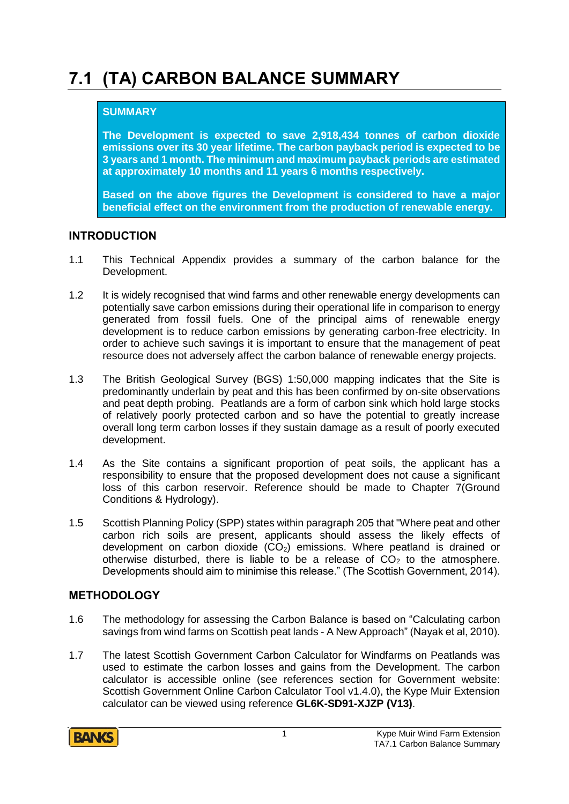# **7.1 (TA) CARBON BALANCE SUMMARY**

#### **SUMMARY**

**The Development is expected to save 2,918,434 tonnes of carbon dioxide emissions over its 30 year lifetime. The carbon payback period is expected to be 3 years and 1 month. The minimum and maximum payback periods are estimated at approximately 10 months and 11 years 6 months respectively.**

**Based on the above figures the Development is considered to have a major beneficial effect on the environment from the production of renewable energy.**

#### **INTRODUCTION**

- 1.1 This Technical Appendix provides a summary of the carbon balance for the Development.
- 1.2 It is widely recognised that wind farms and other renewable energy developments can potentially save carbon emissions during their operational life in comparison to energy generated from fossil fuels. One of the principal aims of renewable energy development is to reduce carbon emissions by generating carbon-free electricity. In order to achieve such savings it is important to ensure that the management of peat resource does not adversely affect the carbon balance of renewable energy projects.
- 1.3 The British Geological Survey (BGS) 1:50,000 mapping indicates that the Site is predominantly underlain by peat and this has been confirmed by on-site observations and peat depth probing. Peatlands are a form of carbon sink which hold large stocks of relatively poorly protected carbon and so have the potential to greatly increase overall long term carbon losses if they sustain damage as a result of poorly executed development.
- 1.4 As the Site contains a significant proportion of peat soils, the applicant has a responsibility to ensure that the proposed development does not cause a significant loss of this carbon reservoir. Reference should be made to Chapter 7(Ground Conditions & Hydrology).
- 1.5 Scottish Planning Policy (SPP) states within paragraph 205 that "Where peat and other carbon rich soils are present, applicants should assess the likely effects of development on carbon dioxide  $(CO<sub>2</sub>)$  emissions. Where peatland is drained or otherwise disturbed, there is liable to be a release of  $CO<sub>2</sub>$  to the atmosphere. Developments should aim to minimise this release." (The Scottish Government, 2014).

## **METHODOLOGY**

- 1.6 The methodology for assessing the Carbon Balance is based on "Calculating carbon savings from wind farms on Scottish peat lands - A New Approach" (Nayak et al, 2010).
- 1.7 The latest Scottish Government Carbon Calculator for Windfarms on Peatlands was used to estimate the carbon losses and gains from the Development. The carbon calculator is accessible online (see references section for Government website: Scottish Government Online Carbon Calculator Tool v1.4.0), the Kype Muir Extension calculator can be viewed using reference **GL6K-SD91-XJZP (V13)**.

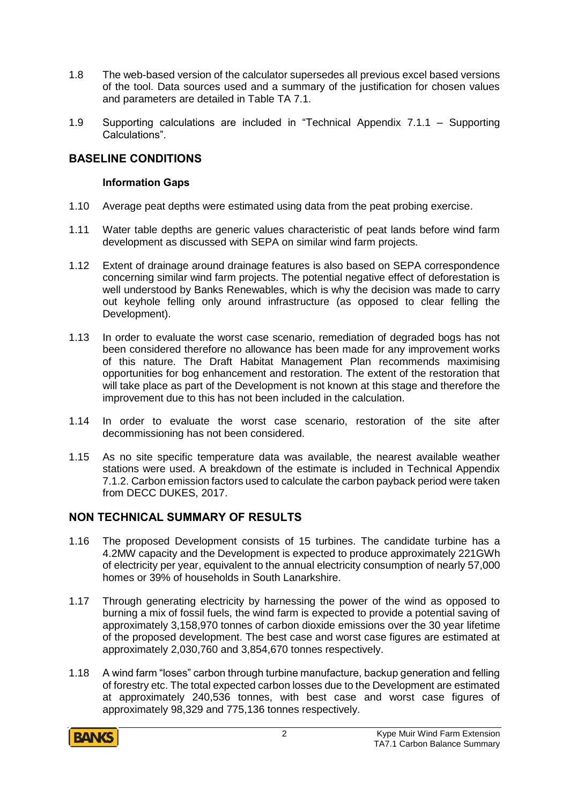- 1.8 The web-based version of the calculator supersedes all previous excel based versions of the tool. Data sources used and a summary of the justification for chosen values and parameters are detailed in Table TA 7.1.
- 1.9 Supporting calculations are included in "Technical Appendix 7.1.1 Supporting Calculations".

#### **BASELINE CONDITIONS**

#### **Information Gaps**

- 1.10 Average peat depths were estimated using data from the peat probing exercise.
- 1.11 Water table depths are generic values characteristic of peat lands before wind farm development as discussed with SEPA on similar wind farm projects.
- 1.12 Extent of drainage around drainage features is also based on SEPA correspondence concerning similar wind farm projects. The potential negative effect of deforestation is well understood by Banks Renewables, which is why the decision was made to carry out keyhole felling only around infrastructure (as opposed to clear felling the Development).
- 1.13 In order to evaluate the worst case scenario, remediation of degraded bogs has not been considered therefore no allowance has been made for any improvement works of this nature. The Draft Habitat Management Plan recommends maximising opportunities for bog enhancement and restoration. The extent of the restoration that will take place as part of the Development is not known at this stage and therefore the improvement due to this has not been included in the calculation.
- 1.14 In order to evaluate the worst case scenario, restoration of the site after decommissioning has not been considered.
- 1.15 As no site specific temperature data was available, the nearest available weather stations were used. A breakdown of the estimate is included in Technical Appendix 7.1.2. Carbon emission factors used to calculate the carbon payback period were taken from DECC DUKES, 2017.

## **NON TECHNICAL SUMMARY OF RESULTS**

- 1.16 The proposed Development consists of 15 turbines. The candidate turbine has a 4.2MW capacity and the Development is expected to produce approximately 221GWh of electricity per year, equivalent to the annual electricity consumption of nearly 57,000 homes or 39% of households in South Lanarkshire.
- 1.17 Through generating electricity by harnessing the power of the wind as opposed to burning a mix of fossil fuels, the wind farm is expected to provide a potential saving of approximately 3,158,970 tonnes of carbon dioxide emissions over the 30 year lifetime of the proposed development. The best case and worst case figures are estimated at approximately 2,030,760 and 3,854,670 tonnes respectively.
- 1.18 A wind farm "loses" carbon through turbine manufacture, backup generation and felling of forestry etc. The total expected carbon losses due to the Development are estimated at approximately 240,536 tonnes, with best case and worst case figures of approximately 98,329 and 775,136 tonnes respectively.

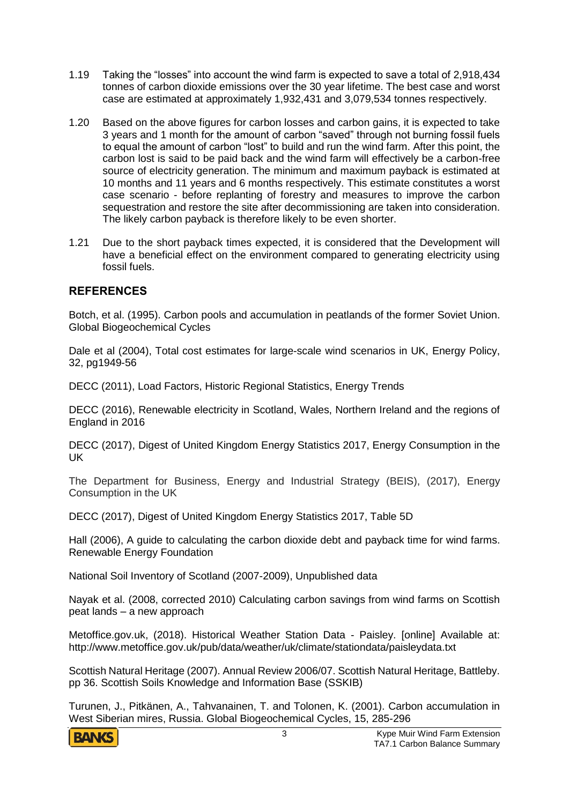- 1.19 Taking the "losses" into account the wind farm is expected to save a total of 2,918,434 tonnes of carbon dioxide emissions over the 30 year lifetime. The best case and worst case are estimated at approximately 1,932,431 and 3,079,534 tonnes respectively.
- 1.20 Based on the above figures for carbon losses and carbon gains, it is expected to take 3 years and 1 month for the amount of carbon "saved" through not burning fossil fuels to equal the amount of carbon "lost" to build and run the wind farm. After this point, the carbon lost is said to be paid back and the wind farm will effectively be a carbon-free source of electricity generation. The minimum and maximum payback is estimated at 10 months and 11 years and 6 months respectively. This estimate constitutes a worst case scenario - before replanting of forestry and measures to improve the carbon sequestration and restore the site after decommissioning are taken into consideration. The likely carbon payback is therefore likely to be even shorter.
- 1.21 Due to the short payback times expected, it is considered that the Development will have a beneficial effect on the environment compared to generating electricity using fossil fuels.

## **REFERENCES**

Botch, et al. (1995). Carbon pools and accumulation in peatlands of the former Soviet Union. Global Biogeochemical Cycles

Dale et al (2004), Total cost estimates for large-scale wind scenarios in UK, Energy Policy, 32, pg1949-56

DECC (2011), Load Factors, Historic Regional Statistics, Energy Trends

DECC (2016), Renewable electricity in Scotland, Wales, Northern Ireland and the regions of England in 2016

DECC (2017), Digest of United Kingdom Energy Statistics 2017, Energy Consumption in the UK

The Department for Business, Energy and Industrial Strategy (BEIS), (2017), Energy Consumption in the UK

DECC (2017), Digest of United Kingdom Energy Statistics 2017, Table 5D

Hall (2006), A guide to calculating the carbon dioxide debt and payback time for wind farms. Renewable Energy Foundation

National Soil Inventory of Scotland (2007-2009), Unpublished data

Nayak et al. (2008, corrected 2010) Calculating carbon savings from wind farms on Scottish peat lands – a new approach

Metoffice.gov.uk, (2018). Historical Weather Station Data - Paisley. [online] Available at: http://www.metoffice.gov.uk/pub/data/weather/uk/climate/stationdata/paisleydata.txt

Scottish Natural Heritage (2007). Annual Review 2006/07. Scottish Natural Heritage, Battleby. pp 36. Scottish Soils Knowledge and Information Base (SSKIB)

Turunen, J., Pitkänen, A., Tahvanainen, T. and Tolonen, K. (2001). Carbon accumulation in West Siberian mires, Russia. Global Biogeochemical Cycles, 15, 285-296

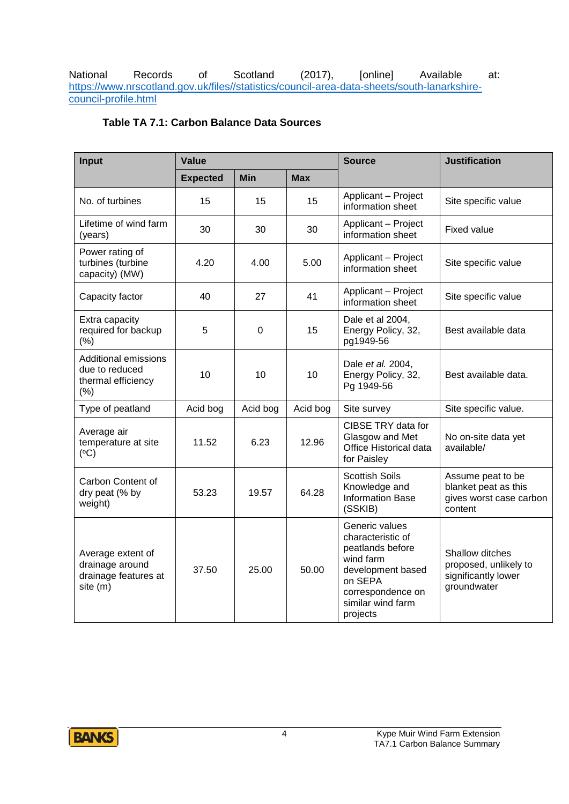National Records of Scotland (2017), [online] Available at: [https://www.nrscotland.gov.uk/files//statistics/council-area-data-sheets/south-lanarkshire](https://www.nrscotland.gov.uk/files/statistics/council-area-data-sheets/south-lanarkshire-council-profile.html)[council-profile.html](https://www.nrscotland.gov.uk/files/statistics/council-area-data-sheets/south-lanarkshire-council-profile.html)

#### **Table TA 7.1: Carbon Balance Data Sources**

| Input                                                                         | Value           |             |            | <b>Source</b>                                                                                                                                              | <b>Justification</b>                                                            |
|-------------------------------------------------------------------------------|-----------------|-------------|------------|------------------------------------------------------------------------------------------------------------------------------------------------------------|---------------------------------------------------------------------------------|
|                                                                               | <b>Expected</b> | <b>Min</b>  | <b>Max</b> |                                                                                                                                                            |                                                                                 |
| No. of turbines                                                               | 15              | 15          | 15         | Applicant - Project<br>information sheet                                                                                                                   | Site specific value                                                             |
| Lifetime of wind farm<br>(years)                                              | 30              | 30          | 30         | Applicant - Project<br>information sheet                                                                                                                   | <b>Fixed value</b>                                                              |
| Power rating of<br>turbines (turbine<br>capacity) (MW)                        | 4.20            | 4.00        | 5.00       | Applicant - Project<br>information sheet                                                                                                                   | Site specific value                                                             |
| Capacity factor                                                               | 40              | 27          | 41         | Applicant - Project<br>information sheet                                                                                                                   | Site specific value                                                             |
| Extra capacity<br>required for backup<br>(%)                                  | 5               | $\mathbf 0$ | 15         | Dale et al 2004,<br>Energy Policy, 32,<br>pg1949-56                                                                                                        | Best available data                                                             |
| <b>Additional emissions</b><br>due to reduced<br>thermal efficiency<br>$(\%)$ | 10              | 10          | 10         | Dale et al. 2004,<br>Energy Policy, 32,<br>Pg 1949-56                                                                                                      | Best available data.                                                            |
| Type of peatland                                                              | Acid bog        | Acid bog    | Acid bog   | Site survey                                                                                                                                                | Site specific value.                                                            |
| Average air<br>temperature at site<br>(°C)                                    | 11.52           | 6.23        | 12.96      | CIBSE TRY data for<br>Glasgow and Met<br>Office Historical data<br>for Paisley                                                                             | No on-site data yet<br>available/                                               |
| Carbon Content of<br>dry peat (% by<br>weight)                                | 53.23           | 19.57       | 64.28      | <b>Scottish Soils</b><br>Knowledge and<br><b>Information Base</b><br>(SSKIB)                                                                               | Assume peat to be<br>blanket peat as this<br>gives worst case carbon<br>content |
| Average extent of<br>drainage around<br>drainage features at<br>site (m)      | 37.50           | 25.00       | 50.00      | Generic values<br>characteristic of<br>peatlands before<br>wind farm<br>development based<br>on SEPA<br>correspondence on<br>similar wind farm<br>projects | Shallow ditches<br>proposed, unlikely to<br>significantly lower<br>groundwater  |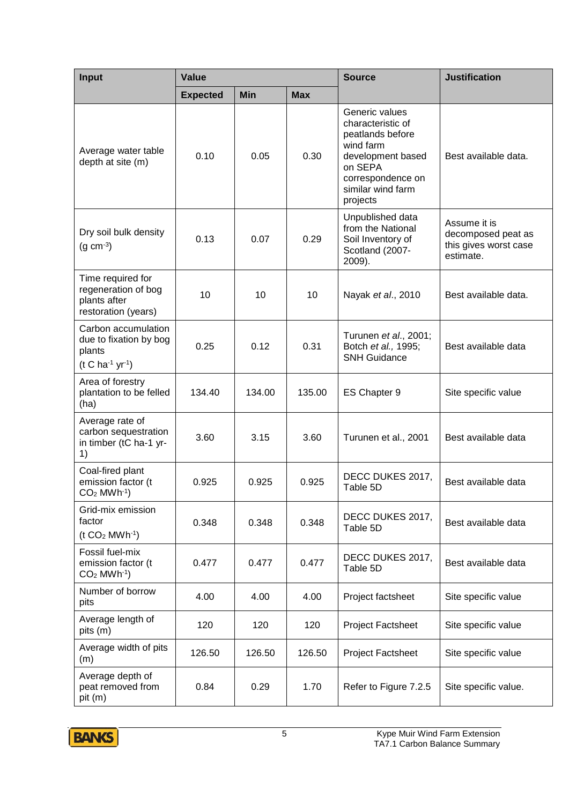| Input                                                                              | Value           |            |            | <b>Source</b>                                                                                                                                              | <b>Justification</b>                                                     |
|------------------------------------------------------------------------------------|-----------------|------------|------------|------------------------------------------------------------------------------------------------------------------------------------------------------------|--------------------------------------------------------------------------|
|                                                                                    | <b>Expected</b> | <b>Min</b> | <b>Max</b> |                                                                                                                                                            |                                                                          |
| Average water table<br>depth at site (m)                                           | 0.10            | 0.05       | 0.30       | Generic values<br>characteristic of<br>peatlands before<br>wind farm<br>development based<br>on SEPA<br>correspondence on<br>similar wind farm<br>projects | Best available data.                                                     |
| Dry soil bulk density<br>$(g cm-3)$                                                | 0.13            | 0.07       | 0.29       | Unpublished data<br>from the National<br>Soil Inventory of<br>Scotland (2007-<br>2009).                                                                    | Assume it is<br>decomposed peat as<br>this gives worst case<br>estimate. |
| Time required for<br>regeneration of bog<br>plants after<br>restoration (years)    | 10              | 10         | 10         | Nayak et al., 2010                                                                                                                                         | Best available data.                                                     |
| Carbon accumulation<br>due to fixation by bog<br>plants<br>$(t C ha^{-1} yr^{-1})$ | 0.25            | 0.12       | 0.31       | Turunen et al., 2001;<br>Botch et al., 1995;<br><b>SNH Guidance</b>                                                                                        | Best available data                                                      |
| Area of forestry<br>plantation to be felled<br>(ha)                                | 134.40          | 134.00     | 135.00     | ES Chapter 9                                                                                                                                               | Site specific value                                                      |
| Average rate of<br>carbon sequestration<br>in timber (tC ha-1 yr-<br>1)            | 3.60            | 3.15       | 3.60       | Turunen et al., 2001                                                                                                                                       | Best available data                                                      |
| Coal-fired plant<br>emission factor (t<br>$CO2$ MWh <sup>-1</sup> )                | 0.925           | 0.925      | 0.925      | DECC DUKES 2017,<br>Table 5D                                                                                                                               | Best available data                                                      |
| Grid-mix emission<br>factor<br>$(t CO2 MWh-1)$                                     | 0.348           | 0.348      | 0.348      | DECC DUKES 2017,<br>Table 5D                                                                                                                               | Best available data                                                      |
| Fossil fuel-mix<br>emission factor (t<br>$CO2$ MWh <sup>-1</sup> )                 | 0.477           | 0.477      | 0.477      | DECC DUKES 2017,<br>Table 5D                                                                                                                               | Best available data                                                      |
| Number of borrow<br>pits                                                           | 4.00            | 4.00       | 4.00       | Project factsheet                                                                                                                                          | Site specific value                                                      |
| Average length of<br>pits (m)                                                      | 120             | 120        | 120        | Project Factsheet                                                                                                                                          | Site specific value                                                      |
| Average width of pits<br>(m)                                                       | 126.50          | 126.50     | 126.50     | <b>Project Factsheet</b>                                                                                                                                   | Site specific value                                                      |
| Average depth of<br>peat removed from<br>pit (m)                                   | 0.84            | 0.29       | 1.70       | Refer to Figure 7.2.5                                                                                                                                      | Site specific value.                                                     |

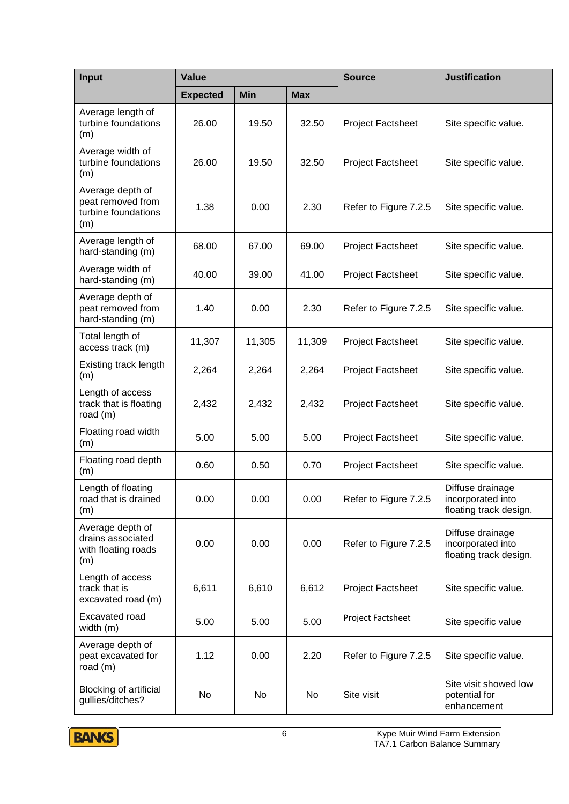| <b>Input</b>                                                        | <b>Value</b>    |            | <b>Source</b> | <b>Justification</b>     |                                                                 |
|---------------------------------------------------------------------|-----------------|------------|---------------|--------------------------|-----------------------------------------------------------------|
|                                                                     | <b>Expected</b> | <b>Min</b> | <b>Max</b>    |                          |                                                                 |
| Average length of<br>turbine foundations<br>(m)                     | 26.00           | 19.50      | 32.50         | <b>Project Factsheet</b> | Site specific value.                                            |
| Average width of<br>turbine foundations<br>(m)                      | 26.00           | 19.50      | 32.50         | Project Factsheet        | Site specific value.                                            |
| Average depth of<br>peat removed from<br>turbine foundations<br>(m) | 1.38            | 0.00       | 2.30          | Refer to Figure 7.2.5    | Site specific value.                                            |
| Average length of<br>hard-standing (m)                              | 68.00           | 67.00      | 69.00         | <b>Project Factsheet</b> | Site specific value.                                            |
| Average width of<br>hard-standing (m)                               | 40.00           | 39.00      | 41.00         | Project Factsheet        | Site specific value.                                            |
| Average depth of<br>peat removed from<br>hard-standing (m)          | 1.40            | 0.00       | 2.30          | Refer to Figure 7.2.5    | Site specific value.                                            |
| Total length of<br>access track (m)                                 | 11,307          | 11,305     | 11,309        | Project Factsheet        | Site specific value.                                            |
| Existing track length<br>(m)                                        | 2,264           | 2,264      | 2,264         | <b>Project Factsheet</b> | Site specific value.                                            |
| Length of access<br>track that is floating<br>road (m)              | 2,432           | 2,432      | 2,432         | Project Factsheet        | Site specific value.                                            |
| Floating road width<br>(m)                                          | 5.00            | 5.00       | 5.00          | Project Factsheet        | Site specific value.                                            |
| Floating road depth<br>(m)                                          | 0.60            | 0.50       | 0.70          | Project Factsheet        | Site specific value.                                            |
| Length of floating<br>road that is drained<br>(m)                   | 0.00            | 0.00       | 0.00          | Refer to Figure 7.2.5    | Diffuse drainage<br>incorporated into<br>floating track design. |
| Average depth of<br>drains associated<br>with floating roads<br>(m) | 0.00            | 0.00       | 0.00          | Refer to Figure 7.2.5    | Diffuse drainage<br>incorporated into<br>floating track design. |
| Length of access<br>track that is<br>excavated road (m)             | 6,611           | 6,610      | 6,612         | Project Factsheet        | Site specific value.                                            |
| Excavated road<br>width (m)                                         | 5.00            | 5.00       | 5.00          | Project Factsheet        | Site specific value                                             |
| Average depth of<br>peat excavated for<br>road $(m)$                | 1.12            | 0.00       | 2.20          | Refer to Figure 7.2.5    | Site specific value.                                            |
| <b>Blocking of artificial</b><br>gullies/ditches?                   | No              | No         | No            | Site visit               | Site visit showed low<br>potential for<br>enhancement           |